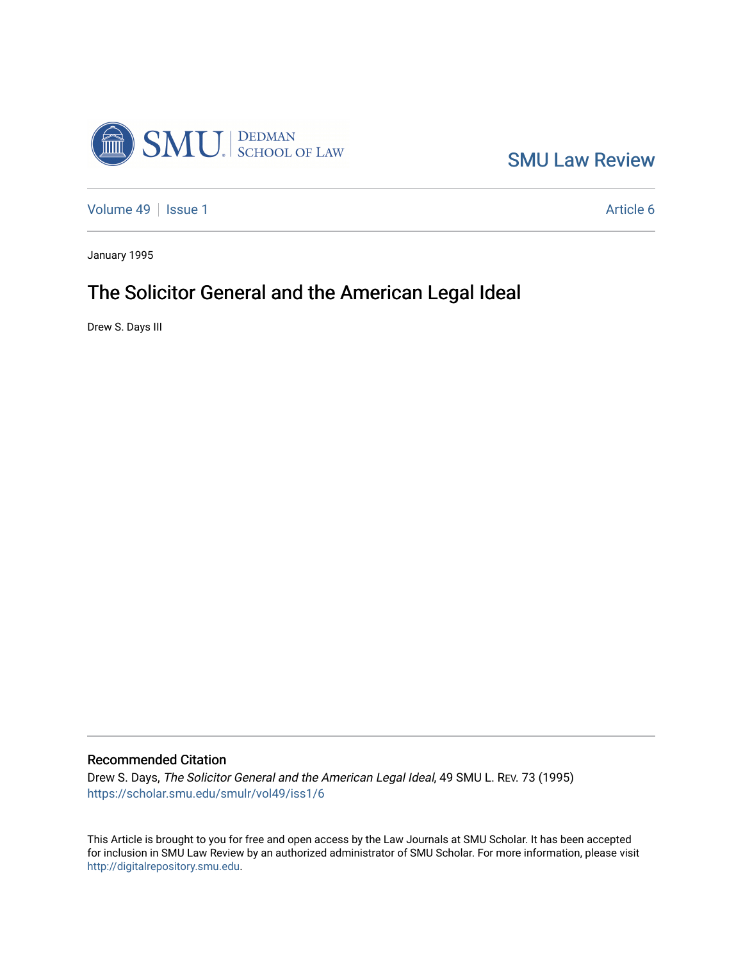

[SMU Law Review](https://scholar.smu.edu/smulr) 

[Volume 49](https://scholar.smu.edu/smulr/vol49) | [Issue 1](https://scholar.smu.edu/smulr/vol49/iss1) Article 6

January 1995

# The Solicitor General and the American Legal Ideal

Drew S. Days III

### Recommended Citation

Drew S. Days, The Solicitor General and the American Legal Ideal, 49 SMU L. REV. 73 (1995) [https://scholar.smu.edu/smulr/vol49/iss1/6](https://scholar.smu.edu/smulr/vol49/iss1/6?utm_source=scholar.smu.edu%2Fsmulr%2Fvol49%2Fiss1%2F6&utm_medium=PDF&utm_campaign=PDFCoverPages) 

This Article is brought to you for free and open access by the Law Journals at SMU Scholar. It has been accepted for inclusion in SMU Law Review by an authorized administrator of SMU Scholar. For more information, please visit [http://digitalrepository.smu.edu.](http://digitalrepository.smu.edu/)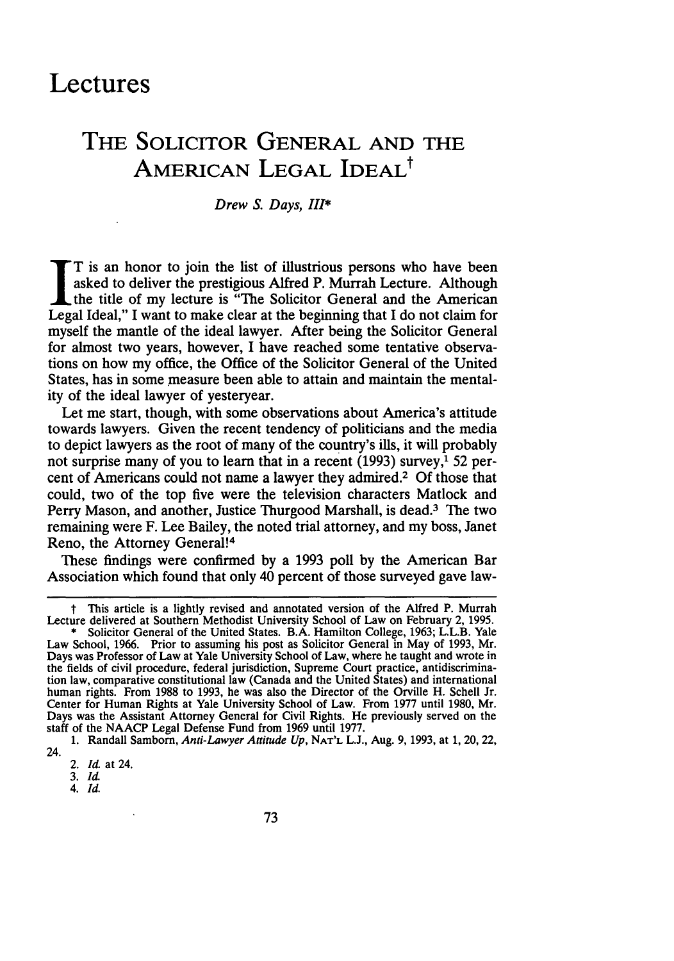# **Lectures**

# **THE SOLICITOR GENERAL AND THE AMERICAN LEGAL IDEAL<sup>†</sup>**

#### Drew **S.** Days, *III\**

T is an honor to join the list of illustrious persons who have been asked to deliver the prestigious Alfred P. Murrah Lecture. Although the title of my lecture is "The Solicitor General and the American Legal Ideal," I want to make clear at the beginning that I do not claim for myself the mantle of the ideal lawyer. After being the Solicitor General for almost two years, however, I have reached some tentative observations on how my office, the Office of the Solicitor General of the United States, has in some measure been able to attain and maintain the mentality of the ideal lawyer of yesteryear.

Let me start, though, with some observations about America's attitude towards lawyers. Given the recent tendency of politicians and the media to depict lawyers as the root of many of the country's ills, it will probably not surprise many of you to learn that in a recent **(1993)** survey,' **52** percent of Americans could not name a lawyer they admired.2 **Of** those that could, two of the top five were the television characters Matlock and Perry Mason, and another, Justice Thurgood Marshall, is dead.<sup>3</sup> The two remaining were F. Lee Bailey, the noted trial attorney, and my boss, Janet Reno, the Attorney General!<sup>4</sup>

These findings were confirmed **by** a **1993** poll **by** the American Bar Association which found that only 40 percent of those surveyed gave law-

**t** This article is a lightly revised and annotated version of the Alfred P. Murrah Lecture delivered at Southern Methodist University School of Law on February 2, 1995. **\*** Solicitor General of the United States. B.A. Hamilton College, 1963; L.L.B. Yale

Law School, 1966. Prior to assuming his post as Solicitor General in May of 1993, Mr. Days was Professor of Law at Yale University School of Law, where he taught and wrote in the fields of civil procedure, federal jurisdiction, Supreme Court practice, antidiscrimination law, comparative constitutional law (Canada and the United States) and international human rights. From **1988** to **1993,** he was also the Director of the Orville H. Schell Jr. Center for Human Rights at Yale University School of Law. From **1977** until 1980, Mr. Days was the Assistant Attorney General for Civil Rights. He previously served on the staff of the **NAACP** Legal Defense Fund from **1969** until 1977.

<sup>1.</sup> Randall Samborn, *Anti-Lawyer Attitude Up,* **NAT'L L.J.,** Aug. 9, 1993, at 1, 20, 22, 24.

<sup>2.</sup> *Id* at 24.

**<sup>3.</sup>** *Id*

*<sup>4.</sup> Id.*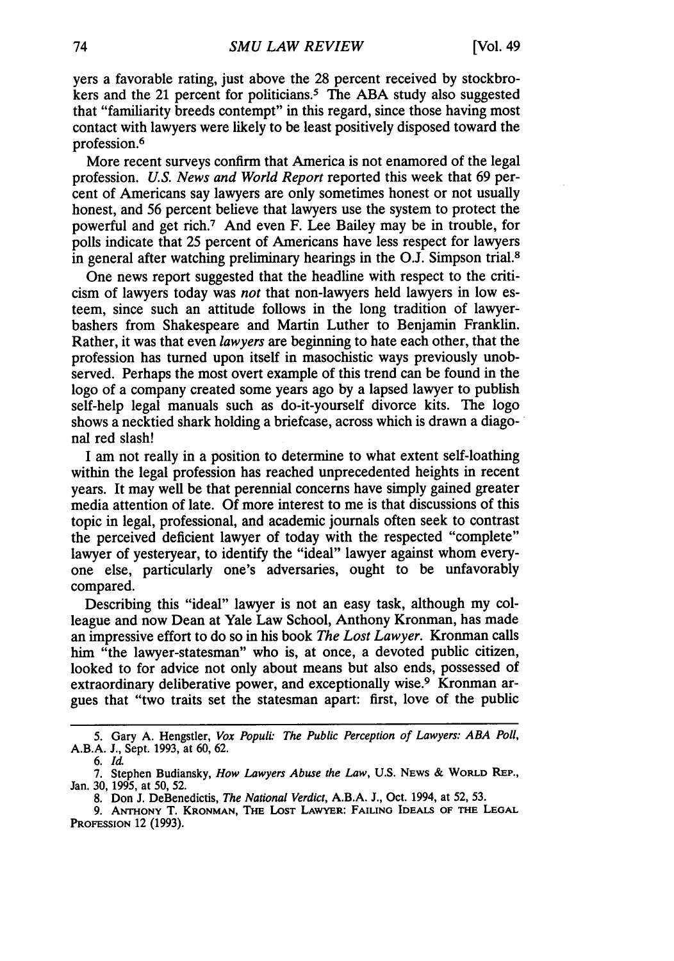yers a favorable rating, just above the 28 percent received by stockbrokers and the 21 percent for politicians.<sup>5</sup> The ABA study also suggested that "familiarity breeds contempt" in this regard, since those having most contact with lawyers were likely to be least positively disposed toward the profession.<sup>6</sup>

More recent surveys confirm that America is not enamored of the legal profession. *U.S. News and World Report* reported this week that 69 percent of Americans say lawyers are only sometimes honest or not usually honest, and 56 percent believe that lawyers use the system to protect the powerful and get rich.7 And even F. Lee Bailey may be in trouble, for polls indicate that 25 percent of Americans have less respect for lawyers in general after watching preliminary hearings in the O.J. Simpson trial.8

One news report suggested that the headline with respect to the criticism of lawyers today was *not* that non-lawyers held lawyers in low esteem, since such an attitude follows in the long tradition of lawyerbashers from Shakespeare and Martin Luther to Benjamin Franklin. Rather, it was that even *lawyers* are beginning to hate each other, that the profession has turned upon itself in masochistic ways previously unobserved. Perhaps the most overt example of this trend can be found in the logo of a company created some years ago by a lapsed lawyer to publish self-help legal manuals such as do-it-yourself divorce kits. The logo shows a necktied shark holding a briefcase, across which is drawn a diagonal red slash!

I am not really in a position to determine to what extent self-loathing within the legal profession has reached unprecedented heights in recent years. It may well be that perennial concerns have simply gained greater media attention of late. Of more interest to me is that discussions of this topic in legal, professional, and academic journals often seek to contrast the perceived deficient lawyer of today with the respected "complete" lawyer of yesteryear, to identify the "ideal" lawyer against whom everyone else, particularly one's adversaries, ought to be unfavorably compared.

Describing this "ideal" lawyer is not an easy task, although my colleague and now Dean at Yale Law School, Anthony Kronman, has made an impressive effort to do so in his book *The Lost Lawyer.* Kronman calls him "the lawyer-statesman" who is, at once, a devoted public citizen, looked to for advice not only about means but also ends, possessed of extraordinary deliberative power, and exceptionally wise.<sup>9</sup> Kronman argues that "two traits set the statesman apart: first, love of the public

8. Don J. DeBenedictis, *The National Verdict,* A.B.A. J., Oct. 1994, at 52, 53.

<sup>5.</sup> Gary A. Hengstler, *Vox* Populi. *The Public Perception of Lawyers: ABA Poll,* A.B.A. J., Sept. 1993, at 60, 62.

*<sup>6.</sup> Id.*

<sup>7.</sup> Stephen Budiansky, *How Lawyers Abuse the Law,* U.S. NEWs & WORLD REP., Jan. 30, 1995, at 50, 52.

**<sup>9.</sup> ANTHONY** T. **KRONMAN, THE LOST LAWYER: FAILING IDEALS OF THE LEGAL** PROFESSION 12 (1993).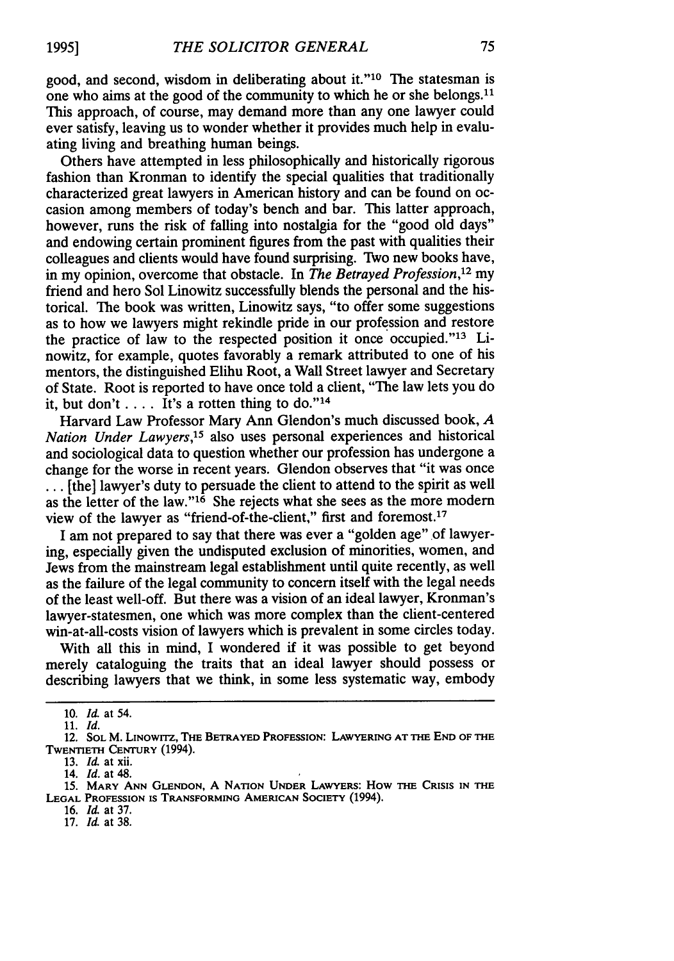good, and second, wisdom in deliberating about it."<sup>10</sup> The statesman is one who aims at the good of the community to which he or she belongs.<sup>11</sup> This approach, of course, may demand more than any one lawyer could ever satisfy, leaving us to wonder whether it provides much help in evaluating living and breathing human beings.

Others have attempted in less philosophically and historically rigorous fashion than Kronman to identify the special qualities that traditionally characterized great lawyers in American history and can be found on occasion among members of today's bench and bar. This latter approach, however, runs the risk of falling into nostalgia for the "good old days" and endowing certain prominent figures from the past with qualities their colleagues and clients would have found surprising. TWo new books have, in my opinion, overcome that obstacle. In *The Betrayed Profession,'2* my friend and hero Sol Linowitz successfully blends the personal and the historical. The book was written, Linowitz says, "to offer some suggestions as to how we lawyers might rekindle pride in our profession and restore the practice of law to the respected position it once occupied."<sup>13</sup> Linowitz, for example, quotes favorably a remark attributed to one of his mentors, the distinguished Elihu Root, a Wall Street lawyer and Secretary of State. Root is reported to have once told a client, "The law lets you do it, but don't  $\dots$ . It's a rotten thing to do."<sup>14</sup>

Harvard Law Professor Mary Ann Glendon's much discussed book, *A Nation Under Lawyers,'5* also uses personal experiences and historical and sociological data to question whether our profession has undergone a change for the worse in recent years. Glendon observes that "it was once **...** [the] lawyer's duty to persuade the client to attend to the spirit as well as the letter of the law." $16$  She rejects what she sees as the more modern view of the lawyer as "friend-of-the-client," first and foremost.<sup>17</sup>

I am not prepared to say that there was ever a "golden age" of lawyering, especially given the undisputed exclusion of minorities, women, and Jews from the mainstream legal establishment until quite recently, as well as the failure of the legal community to concern itself with the legal needs of the least well-off. But there was a vision of an ideal lawyer, Kronman's lawyer-statesmen, one which was more complex than the client-centered win-at-all-costs vision of lawyers which is prevalent in some circles today.

With all this in mind, I wondered if it was possible to get beyond merely cataloguing the traits that an ideal lawyer should possess or describing lawyers that we think, in some less systematic way, embody

**1995]**

17. *Id.* at 38.

<sup>10.</sup> *Id.* at 54.

<sup>11.</sup> *Id.*

<sup>12.</sup> **SOL** M. **LINowrrz, THE BETRAYED PROFESSION: LAWYERING AT THE END OF THE** TWENTIETH **CENTURY** (1994).

<sup>13.</sup> *Id.* at xii.

<sup>14.</sup> *Id.* at 48.

**<sup>15.</sup> MARY ANN GLENDON, A NATION UNDER LAWYERS: How THE CRISIS IN THE LEGAL** PROFESSION **IS** TRANSFORMING **AMERICAN** SOCIETY (1994).

<sup>16.</sup> *Id.* at 37.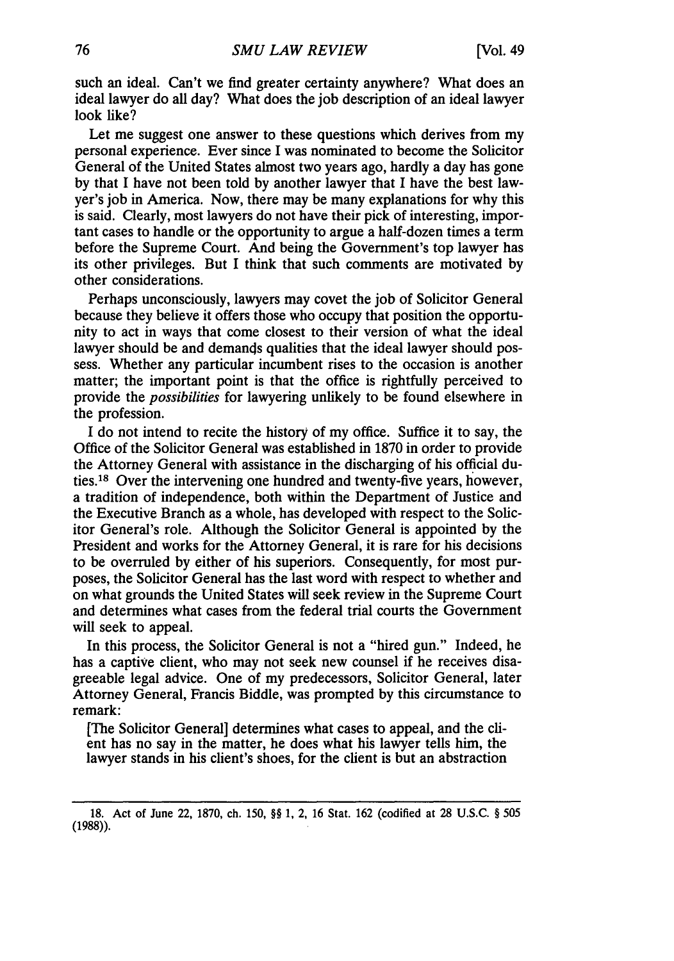such an ideal. Can't we find greater certainty anywhere? What does an ideal lawyer do all day? What does the job description of an ideal lawyer look like?

Let me suggest one answer to these questions which derives from my personal experience. Ever since I was nominated to become the Solicitor General of the United States almost two years ago, hardly a day has gone by that I have not been told by another lawyer that I have the best lawyer's job in America. Now, there may be many explanations for why this is said. Clearly, most lawyers do not have their pick of interesting, important cases to handle or the opportunity to argue a half-dozen times a term before the Supreme Court. And being the Government's top lawyer has its other privileges. But I think that such comments are motivated by other considerations.

Perhaps unconsciously, lawyers may covet the job of Solicitor General because they believe it offers those who occupy that position the opportunity to act in ways that come closest to their version of what the ideal lawyer should be and demands qualities that the ideal lawyer should possess. Whether any particular incumbent rises to the occasion is another matter; the important point is that the office is rightfully perceived to provide the *possibilities* for lawyering unlikely to be found elsewhere in the profession.

I do not intend to recite the history of my office. Suffice it to say, the Office of the Solicitor General was established in 1870 in order to provide the Attorney General with assistance in the discharging of his official duties. 18 Over the intervening one hundred and twenty-five years, however, a tradition of independence, both within the Department of Justice and the Executive Branch as a whole, has developed with respect to the Solicitor General's role. Although the Solicitor General is appointed by the President and works for the Attorney General, it is rare for his decisions to be overruled by either of his superiors. Consequently, for most purposes, the Solicitor General has the last word with respect to whether and on what grounds the United States will seek review in the Supreme Court and determines what cases from the federal trial courts the Government will seek to appeal.

In this process, the Solicitor General is not a "hired gun." Indeed, he has a captive client, who may not seek new counsel if he receives disagreeable legal advice. One of my predecessors, Solicitor General, later Attorney General, Francis Biddle, was prompted by this circumstance to remark:

[The Solicitor General] determines what cases to appeal, and the client has no say in the matter, he does what his lawyer tells him, the lawyer stands in his client's shoes, for the client is but an abstraction

<sup>18.</sup> Act of June 22, 1870, ch. 150, §§ 1, 2, 16 Stat. 162 (codified at 28 U.S.C. § 505 (1988)).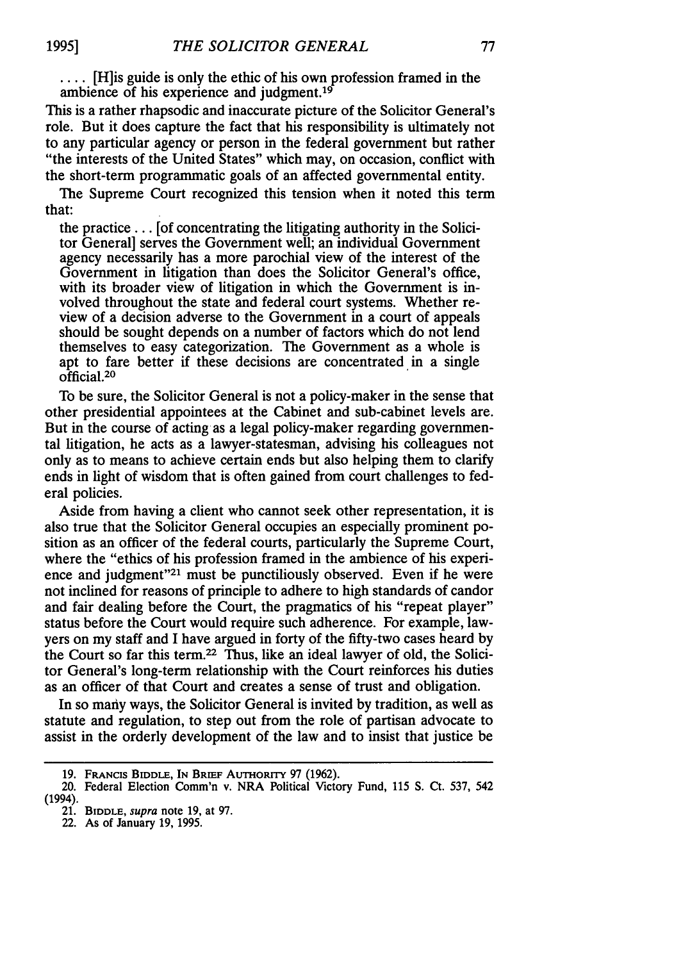**....** [H]is guide is only the ethic of his own profession framed in the ambience of his experience and judgment.<sup>19</sup>

This is a rather rhapsodic and inaccurate picture of the Solicitor General's role. But it does capture the fact that his responsibility is ultimately not to any particular agency or person in the federal government but rather "the interests of the United States" which may, on occasion, conflict with the short-term programmatic goals of an affected governmental entity.

The Supreme Court recognized this tension when it noted this term that:

the practice... [of concentrating the litigating authority in the Solicitor General] serves the Government well; an individual Government agency necessarily has a more parochial view of the interest of the Government in litigation than does the Solicitor General's office, with its broader view of litigation in which the Government is involved throughout the state and federal court systems. Whether review of a decision adverse to the Government in a court of appeals should be sought depends on a number of factors which do not lend themselves to easy categorization. The Government as a whole is apt to fare better if these decisions are concentrated in a single official. <sup>20</sup>

To be sure, the Solicitor General is not a policy-maker in the sense that other presidential appointees at the Cabinet and sub-cabinet levels are. But in the course of acting as a legal policy-maker regarding governmental litigation, he acts as a lawyer-statesman, advising his colleagues not only as to means to achieve certain ends but also helping them to clarify ends in light of wisdom that is often gained from court challenges to federal policies.

Aside from having a client who cannot seek other representation, it is also true that the Solicitor General occupies an especially prominent position as an officer of the federal courts, particularly the Supreme Court, where the "ethics of his profession framed in the ambience of his experience and judgment"<sup>21</sup> must be punctiliously observed. Even if he were not inclined for reasons of principle to adhere to high standards of candor and fair dealing before the Court, the pragmatics of his "repeat player" status before the Court would require such adherence. For example, lawyers on my staff and I have argued in forty of the fifty-two cases heard **by** the Court so far this term.22 Thus, like an ideal lawyer of old, the Solicitor General's long-term relationship with the Court reinforces his duties as an officer of that Court and creates a sense of trust and obligation.

In so many ways, the Solicitor General is invited **by** tradition, as well as statute and regulation, to step out from the role of partisan advocate to assist in the orderly development of the law and to insist that justice be

**<sup>19.</sup>** FRANCiS BIDDLE, **IN BRIEF** AUTHORITY 97 (1962).

<sup>20.</sup> Federal Election Comm'n v. NRA Political Victory Fund, 115 **S.** Ct. 537, 542 (1994).

<sup>21.</sup> BIDDLE, supra note 19, at 97.

<sup>22.</sup> As of January 19, 1995.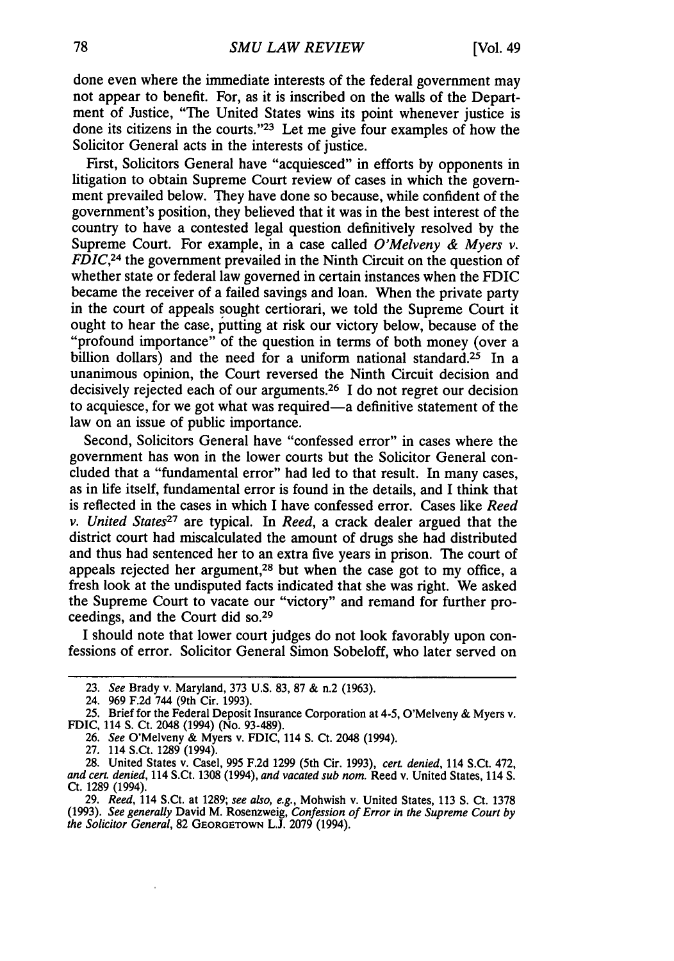done even where the immediate interests of the federal government may not appear to benefit. For, as it is inscribed on the walls of the Department of Justice, "The United States wins its point whenever justice is done its citizens in the courts. '23 Let me give four examples of how the Solicitor General acts in the interests of justice.

First, Solicitors General have "acquiesced" in efforts by opponents in litigation to obtain Supreme Court review of cases in which the government prevailed below. They have done so because, while confident of the government's position, they believed that it was in the best interest of the country to have a contested legal question definitively resolved by the Supreme Court. For example, in a case called *O'Melveny & Myers v. FDIC*,<sup>24</sup> the government prevailed in the Ninth Circuit on the question of whether state or federal law governed in certain instances when the FDIC became the receiver of a failed savings and loan. When the private party in the court of appeals sought certiorari, we told the Supreme Court it ought to hear the case, putting at risk our victory below, because of the "profound importance" of the question in terms of both money (over a billion dollars) and the need for a uniform national standard.<sup>25</sup> In a unanimous opinion, the Court reversed the Ninth Circuit decision and decisively rejected each of our arguments.26 I do not regret our decision to acquiesce, for we got what was required-a definitive statement of the law on an issue of public importance.

Second, Solicitors General have "confessed error" in cases where the government has won in the lower courts but the Solicitor General concluded that a "fundamental error" had led to that result. In many cases, as in life itself, fundamental error is found in the details, and I think that is reflected in the cases in which I have confessed error. Cases like *Reed v. United States27* are typical. In *Reed,* a crack dealer argued that the district court had miscalculated the amount of drugs she had distributed and thus had sentenced her to an extra five years in prison. The court of appeals rejected her argument,<sup>28</sup> but when the case got to my office, a fresh look at the undisputed facts indicated that she was right. We asked the Supreme Court to vacate our "victory" and remand for further proceedings, and the Court did so.<sup>29</sup>

I should note that lower court judges do not look favorably upon confessions of error. Solicitor General Simon Sobeloff, who later served on

<sup>23.</sup> *See* Brady v. Maryland, 373 U.S. 83, 87 & n.2 (1963).

<sup>24. 969</sup> F.2d 744 (9th Cir. 1993).

<sup>25.</sup> Brief for the Federal Deposit Insurance Corporation at 4-5, O'Melveny & Myers v. **FDIC,** 114 S. Ct. 2048 (1994) (No. 93-489).

<sup>26.</sup> *See* O'Melveny & Myers v. FDIC, 114 **S.** Ct. 2048 (1994).

<sup>27. 114</sup> S.Ct. 1289 (1994).<br>28. United States v. Casel, 995 F.2d 1299 (5th Cir. 1993), cert. denied, 114 S.Ct. 472, 28. United States v. Casel, 995 F.2d 1299 (5th Cir. 1993), *cert. denied,* 114 S.Ct. 472, *and cert. denied,* 114 S.Ct. 1308 (1994), *and vacated sub nom.* Reed v. United States, 114 **S.** Ct. 1289 (1994).

<sup>29.</sup> *Reed,* 114 S.Ct. at 1289; *see also, e.g.,* Mohwish v. United States, 113 **S.** Ct. 1378 (1993). *See generally* David M. Rosenzweig, *Confession of Error in the Supreme Court by the Solicitor General,* 82 GEORGETOWN L.J. 2079 (1994).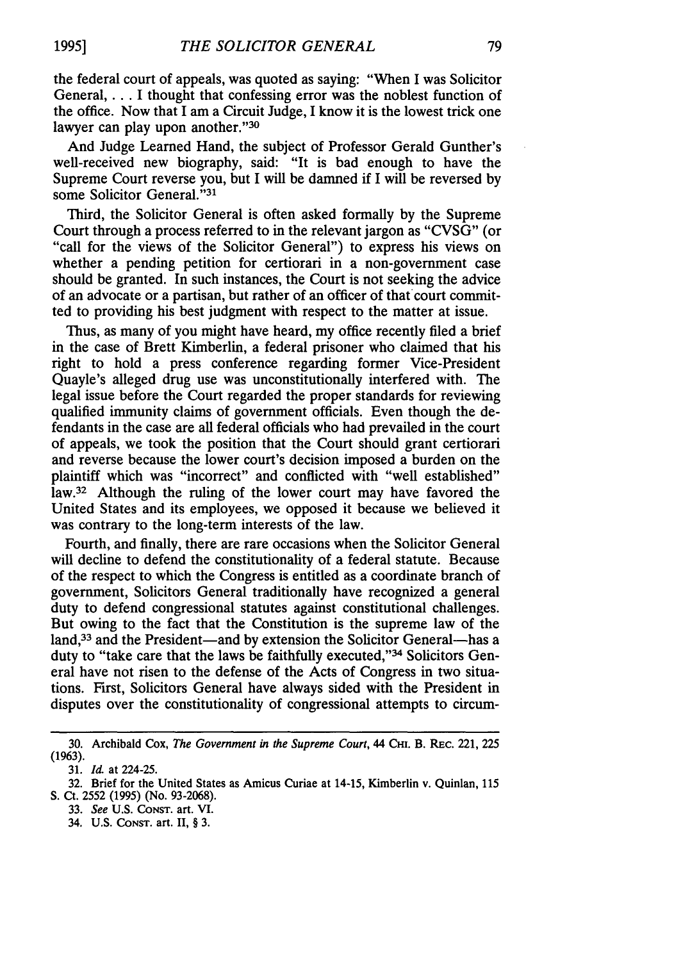the federal court of appeals, was quoted as saying: "When I was Solicitor General,... I thought that confessing error was the noblest function of the office. Now that I am a Circuit Judge, I know it is the lowest trick one lawyer can play upon another."30

And Judge Learned Hand, the subject of Professor Gerald Gunther's well-received new biography, said: "It is bad enough to have the Supreme Court reverse you, but I will be damned if I will be reversed by some Solicitor General."31

Third, the Solicitor General is often asked formally by the Supreme Court through a process referred to in the relevant jargon as "CVSG" (or "call for the views of the Solicitor General") to express his views on whether a pending petition for certiorari in a non-government case should be granted. In such instances, the Court is not seeking the advice of an advocate or a partisan, but rather of an officer of that court committed to providing his best judgment with respect to the matter at issue.

Thus, as many of you might have heard, my office recently filed a brief in the case of Brett Kimberlin, a federal prisoner who claimed that his right to hold a press conference regarding former Vice-President Quayle's alleged drug use was unconstitutionally interfered with. The legal issue before the Court regarded the proper standards for reviewing qualified immunity claims of government officials. Even though the defendants in the case are all federal officials who had prevailed in the court of appeals, we took the position that the Court should grant certiorari and reverse because the lower court's decision imposed a burden on the plaintiff which was "incorrect" and conflicted with "well established" law.<sup>32</sup> Although the ruling of the lower court may have favored the United States and its employees, we opposed it because we believed it was contrary to the long-term interests of the law.

Fourth, and finally, there are rare occasions when the Solicitor General will decline to defend the constitutionality of a federal statute. Because of the respect to which the Congress is entitled as a coordinate branch of government, Solicitors General traditionally have recognized a general duty to defend congressional statutes against constitutional challenges. But owing to the fact that the Constitution is the supreme law of the land,<sup>33</sup> and the President—and by extension the Solicitor General—has a duty to "take care that the laws be faithfully executed,"<sup>34</sup> Solicitors General have not risen to the defense of the Acts of Congress in two situations. First, Solicitors General have always sided with the President in disputes over the constitutionality of congressional attempts to circum-

<sup>30.</sup> Archibald Cox, *The Government in the Supreme Court,* 44 Cmi. B. REc. 221, 225 (1963).

<sup>31.</sup> *Id.* at 224-25.

<sup>32.</sup> Brief for the United States as Amicus Curiae at 14-15, Kimberlin v. Quinlan, 115 S. Ct. 2552 (1995) (No. 93-2068).

<sup>33.</sup> *See* U.S. CONsT. art. VI.

<sup>34.</sup> U.S. **CONST.** art. II, § 3.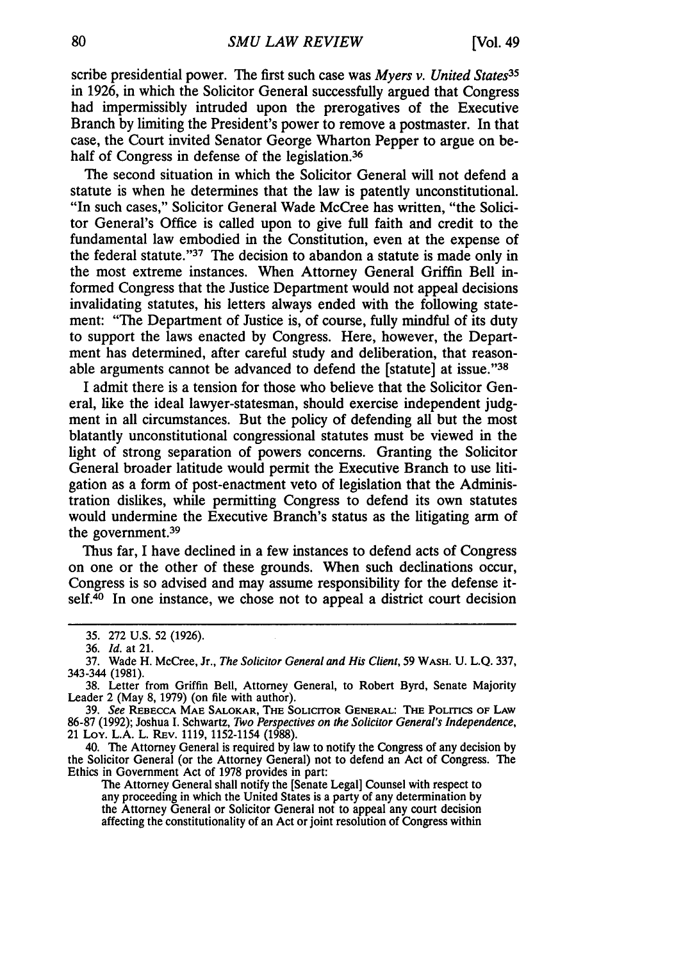scribe presidential power. The first such case was *Myers v. United States35* in 1926, in which the Solicitor General successfully argued that Congress had impermissibly intruded upon the prerogatives of the Executive Branch by limiting the President's power to remove a postmaster. In that case, the Court invited Senator George Wharton Pepper to argue on behalf of Congress in defense of the legislation.<sup>36</sup>

The second situation in which the Solicitor General will not defend a statute is when he determines that the law is patently unconstitutional. "In such cases," Solicitor General Wade McCree has written, "the Solicitor General's Office is called upon to give full faith and credit to the fundamental law embodied in the Constitution, even at the expense of the federal statute."<sup>37</sup> The decision to abandon a statute is made only in the most extreme instances. When Attorney General Griffin Bell informed Congress that the Justice Department would not appeal decisions invalidating statutes, his letters always ended with the following statement: "The Department of Justice is, of course, fully mindful of its duty to support the laws enacted by Congress. Here, however, the Department has determined, after careful study and deliberation, that reasonable arguments cannot be advanced to defend the [statute] at issue."'38

I admit there is a tension for those who believe that the Solicitor General, like the ideal lawyer-statesman, should exercise independent judgment in all circumstances. But the policy of defending all but the most blatantly unconstitutional congressional statutes must be viewed in the light of strong separation of powers concerns. Granting the Solicitor General broader latitude would permit the Executive Branch to use litigation as a form of post-enactment veto of legislation that the Administration dislikes, while permitting Congress to defend its own statutes would undermine the Executive Branch's status as the litigating arm of the government.<sup>39</sup>

Thus far, I have declined in a few instances to defend acts of Congress on one or the other of these grounds. When such declinations occur, Congress is so advised and may assume responsibility for the defense itself.<sup>40</sup> In one instance, we chose not to appeal a district court decision

<sup>35. 272</sup> U.S. 52 (1926).

<sup>36.</sup> *Id.* at 21.

<sup>37.</sup> Wade H. McCree, Jr., *The Solicitor General and His Client,* 59 WASH. U. L.Q. 337, 343-344 (1981).

<sup>38.</sup> Letter from Griffin Bell, Attorney General, to Robert Byrd, Senate Majority Leader 2 (May 8, 1979) (on file with author).

<sup>39.</sup> *See* REBECCA **MAE SALOKAR,** THE **SOLIcITOR GENERAL:** THE **POLITICS OF LAW** 86-87 (1992); Joshua I. Schwartz, *Two Perspectives on the Solicitor General's Independence,* 21 Loy. L.A. L. REv. 1119, 1152-1154 (1988).

<sup>40.</sup> The Attorney General is required by law to notify the Congress of any decision by the Solicitor General (or the Attorney General) not to defend an Act of Congress. The Ethics in Government Act of 1978 provides in part:

The Attorney General shall notify the [Senate Legal] Counsel with respect to any proceeding in which the United States is a party of any determination by the Attorney General or Solicitor General not to appeal any court decision affecting the constitutionality of an Act or joint resolution of Congress within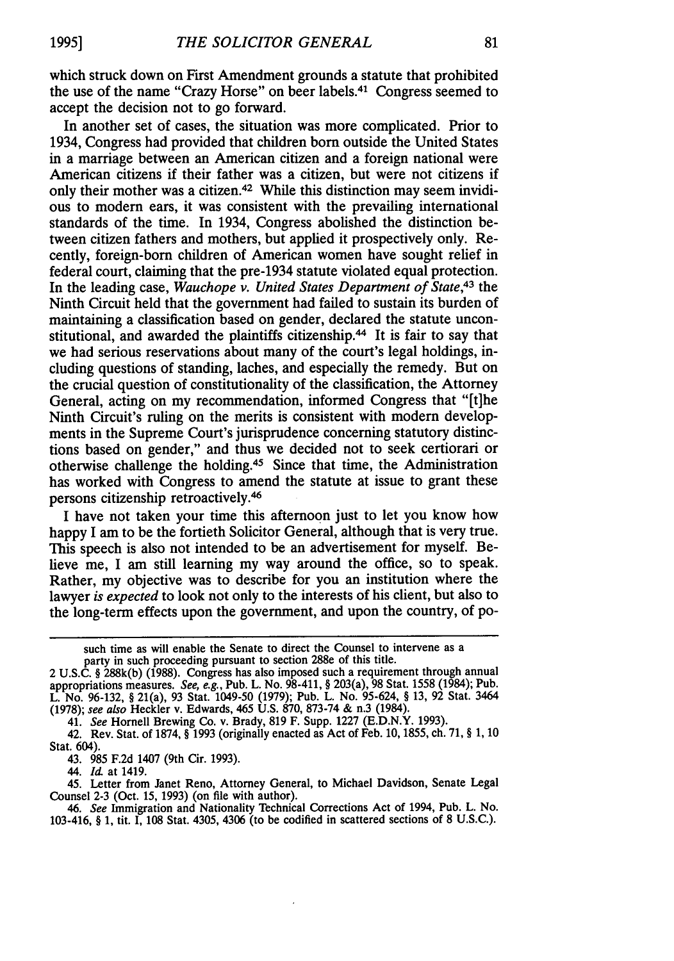which struck down on First Amendment grounds a statute that prohibited the use of the name "Crazy Horse" on beer labels. 41 Congress seemed to accept the decision not to go forward.

In another set of cases, the situation was more complicated. Prior to 1934, Congress had provided that children born outside the United States in a marriage between an American citizen and a foreign national were American citizens if their father was a citizen, but were not citizens if only their mother was a citizen.<sup>42</sup> While this distinction may seem invidious to modern ears, it was consistent with the prevailing international standards of the time. In 1934, Congress abolished the distinction between citizen fathers and mothers, but applied it prospectively only. Recently, foreign-born children of American women have sought relief in federal court, claiming that the pre-1934 statute violated equal protection. In the leading case, *Wauchope v. United States Department of State,43* the Ninth Circuit held that the government had failed to sustain its burden of maintaining a classification based on gender, declared the statute unconstitutional, and awarded the plaintiffs citizenship.<sup>44</sup> It is fair to say that we had serious reservations about many of the court's legal holdings, including questions of standing, laches, and especially the remedy. But on the crucial question of constitutionality of the classification, the Attorney General, acting on my recommendation, informed Congress that "[tihe Ninth Circuit's ruling on the merits is consistent with modern developments in the Supreme Court's jurisprudence concerning statutory distinctions based on gender," and thus we decided not to seek certiorari or otherwise challenge the holding.45 Since that time, the Administration has worked with Congress to amend the statute at issue to grant these persons citizenship retroactively. <sup>46</sup>

I have not taken your time this afternoon just to let you know how happy I am to be the fortieth Solicitor General, although that is very true. This speech is also not intended to be an advertisement for myself. Believe me, I am still learning my way around the office, so to speak. Rather, my objective was to describe for you an institution where the lawyer *is expected* to look not only to the interests of his client, but also to the long-term effects upon the government, and upon the country, of po-

such time as will enable the Senate to direct the Counsel to intervene as a party in such proceeding pursuant to section 288e of this title.

<sup>2</sup> U.S.C. § 288k(b) (1988). Congress has also imposed such a requirement through annual appropriations measures. *See, e.g.,* Pub. L. No. 98-411, § 203(a), 98 Stat. 1558 (1984); Pub. L. No. 96-132, § 21(a), 93 Stat. 1049-50 (1979); Pub. L. No. 95-624, § 13, 92 Stat. 3464 (1978); *see also* Heckler v. Edwards, 465 U.S. 870, 873-74 & n.3 (1984).

<sup>41.</sup> *See* Hornell Brewing Co. v. Brady, 819 F. Supp. 1227 (E.D.N.Y. 1993).

<sup>42.</sup> Rev. Stat. of 1874, § 1993 (originally enacted as Act of Feb. 10, 1855, ch. 71, § 1, 10 Stat. 604).

<sup>43. 985</sup> F.2d 1407 (9th Cir. 1993).

<sup>44.</sup> *Id* at 1419.

<sup>45.</sup> Letter from Janet Reno, Attorney General, to Michael Davidson, Senate Legal Counsel 2-3 (Oct. 15, 1993) (on file with author).

*<sup>46.</sup> See* Immigration and Nationality Technical Corrections Act of 1994, Pub. L. No. 103-416, § 1, tit. I, 108 Stat. 4305, 4306 (to be codified in scattered sections of 8 U.S.C.).